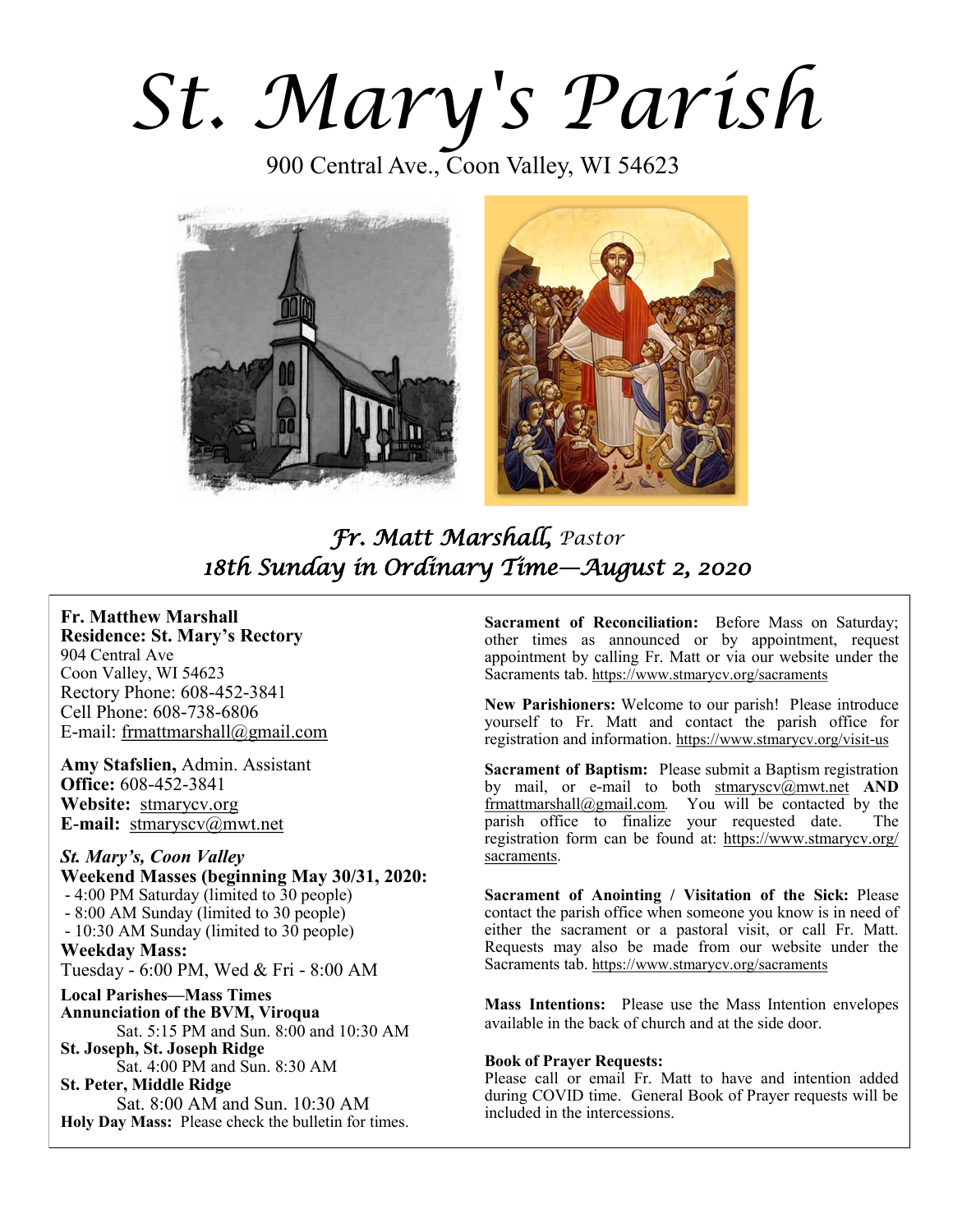*St. Mary's Parish* 

900 Central Ave., Coon Valley, WI 54623



# *Fr. Matt Marshall, Pastor 18th Sunday in Ordinary Time—August 2, 2020*

# **Fr. Matthew Marshall**

**Residence: St. Mary's Rectory** 904 Central Ave Coon Valley, WI 54623 Rectory Phone: 608-452-3841 Cell Phone: 608-738-6806 E-mail: [frmattmarshall@gmail.com](mailto:frmattmarshall@gmail.com)

**Amy Stafslien,** Admin. Assistant **Office:** 608-452-3841 **Website:** <stmarycv.org> **E-mail:** [stmaryscv@mwt.net](mailto:stmaryscv@mwt.net)

*St. Mary's, Coon Valley*  **Weekend Masses (beginning May 30/31, 2020:** - 4:00 PM Saturday (limited to 30 people) - 8:00 AM Sunday (limited to 30 people) - 10:30 AM Sunday (limited to 30 people) **Weekday Mass:**  Tuesday - 6:00 PM, Wed & Fri - 8:00 AM **Local Parishes—Mass Times Annunciation of the BVM, Viroqua** Sat. 5:15 PM and Sun. 8:00 and 10:30 AM **St. Joseph, St. Joseph Ridge** Sat. 4:00 PM and Sun. 8:30 AM

**St. Peter, Middle Ridge** Sat. 8:00 AM and Sun. 10:30 AM **Holy Day Mass:** Please check the bulletin for times.

**Sacrament of Reconciliation:** Before Mass on Saturday; other times as announced or by appointment, request appointment by calling Fr. Matt or via our website under the Sacraments tab. <https://www.stmarycv.org/sacraments>

**New Parishioners:** Welcome to our parish! Please introduce yourself to Fr. Matt and contact the parish office for registration and information. <https://www.stmarycv.org/visit-us>

**Sacrament of Baptism:** Please submit a Baptism registration by mail, or e-mail to both [stmaryscv@mwt.net](mailto:stmaryscv@mwt.net) **AND** [frmattmarshall@gmail.com](mailto:frmattmarshall@gmail.com)*.* You will be contacted by the parish office to finalize your requested date. The registration form can be found at: [https://www.stmarycv.org/](https://www.stmarycv.org/sacraments) [sacraments.](https://www.stmarycv.org/sacraments) 

**Sacrament of Anointing / Visitation of the Sick:** Please contact the parish office when someone you know is in need of either the sacrament or a pastoral visit, or call Fr. Matt. Requests may also be made from our website under the Sacraments tab. <https://www.stmarycv.org/sacraments>

**Mass Intentions:** Please use the Mass Intention envelopes available in the back of church and at the side door.

### **Book of Prayer Requests:**

Please call or email Fr. Matt to have and intention added during COVID time. General Book of Prayer requests will be included in the intercessions.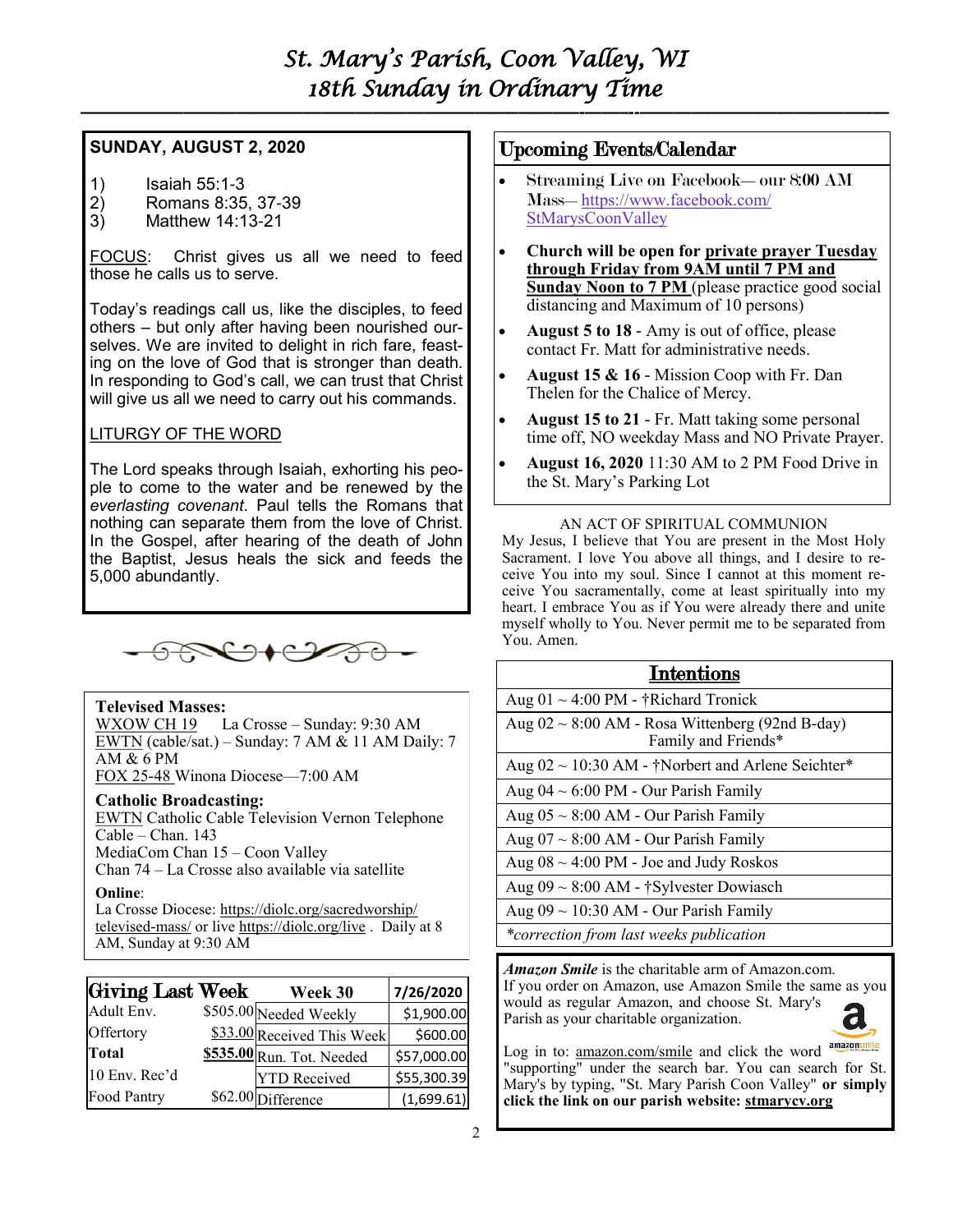# *St. Mary's Parish, Coon Valley, WI 18th Sunday in Ordinary Time*

**—————————————————————————–———–-——–--—————————————–—**

### **SUNDAY, AUGUST 2, 2020**

- 1) Isaiah 55:1-3
- 2) Romans 8:35, 37-39
- 3) Matthew 14:13-21

FOCUS: Christ gives us all we need to feed those he calls us to serve.

Today's readings call us, like the disciples, to feed others – but only after having been nourished ourselves. We are invited to delight in rich fare, feasting on the love of God that is stronger than death. In responding to God's call, we can trust that Christ will give us all we need to carry out his commands.

### LITURGY OF THE WORD

The Lord speaks through Isaiah, exhorting his people to come to the water and be renewed by the *everlasting covenant*. Paul tells the Romans that nothing can separate them from the love of Christ. In the Gospel, after hearing of the death of John the Baptist, Jesus heals the sick and feeds the 5,000 abundantly.



### **Televised Masses:**

WXOW CH 19 La Crosse – Sunday: 9:30 AM EWTN (cable/sat.) – Sunday: 7 AM & 11 AM Daily: 7 AM & 6 PM FOX 25-48 Winona Diocese—7:00 AM

### **Catholic Broadcasting:**

EWTN Catholic Cable Television Vernon Telephone Cable – Chan. 143 MediaCom Chan 15 – Coon Valley Chan 74 – La Crosse also available via satellite

### **Online**:

La Crosse Diocese: [https://diolc.org/sacredworship/](https://diolc.org/sacredworship/televised-mass/) [televised-mass/](https://diolc.org/sacredworship/televised-mass/) or live <https://diolc.org/live> . Daily at 8 AM, Sunday at 9:30 AM

| Giving Last Week | Week 30                    | 7/26/2020   |
|------------------|----------------------------|-------------|
| Adult Env.       | \$505.00 Needed Weekly     | \$1,900.00  |
| Offertory        | \$33.00 Received This Week | \$600.00    |
| Total            | \$535.00 Run. Tot. Needed  | \$57,000.00 |
| 10 Env. Rec'd    | <b>YTD</b> Received        | \$55,300.39 |
| Food Pantry      | \$62.00 Difference         | (1,699.61)  |

# Upcoming Events/Calendar

- Streaming Live on Facebook—our 8:00 AM Mass—[https://www.facebook.com/](https://www.facebook.com/StMarysCoonValley) **[StMarysCoonValley](https://www.facebook.com/StMarysCoonValley)**
- **Church will be open for private prayer Tuesday through Friday from 9AM until 7 PM and Sunday Noon to 7 PM** (please practice good social distancing and Maximum of 10 persons)
- **August 5 to 18**  Amy is out of office, please contact Fr. Matt for administrative needs.
- **August 15 & 16** Mission Coop with Fr. Dan Thelen for the Chalice of Mercy.
- **August 15 to 21** Fr. Matt taking some personal time off, NO weekday Mass and NO Private Prayer.
- **August 16, 2020** 11:30 AM to 2 PM Food Drive in the St. Mary's Parking Lot

### AN ACT OF SPIRITUAL COMMUNION

My Jesus, I believe that You are present in the Most Holy Sacrament. I love You above all things, and I desire to receive You into my soul. Since I cannot at this moment receive You sacramentally, come at least spiritually into my heart. I embrace You as if You were already there and unite myself wholly to You. Never permit me to be separated from You. Amen.

| <b>Intentions</b>                                                           |
|-----------------------------------------------------------------------------|
| Aug $01 \sim 4:00$ PM - †Richard Tronick                                    |
| Aug $02 \sim 8:00$ AM - Rosa Wittenberg (92nd B-day)<br>Family and Friends* |
| Aug $02 \sim 10:30$ AM - †Norbert and Arlene Seichter*                      |
| Aug $04 \sim 6:00$ PM - Our Parish Family                                   |
| Aug $05 \sim 8:00$ AM - Our Parish Family                                   |
| Aug $07 \sim 8:00$ AM - Our Parish Family                                   |
| Aug $08 \sim 4:00$ PM - Joe and Judy Roskos                                 |
| Aug $09 \sim 8:00$ AM - †Sylvester Dowiasch                                 |
| Aug $09 \sim 10:30$ AM - Our Parish Family                                  |
| *correction from last weeks publication                                     |

*Amazon Smile* is the charitable arm of Amazon.com. If you order on Amazon, use Amazon Smile the same as you would as regular Amazon, and choose St. Mary's Parish as your charitable organization.



Log in to: <u>[amazon.com/smile](http://amazon.com/smile)</u> and click the word amazonsmile "supporting" under the search bar. You can search for St. Mary's by typing, "St. Mary Parish Coon Valley" **or simply click the link on our parish website: <stmarycv.org>**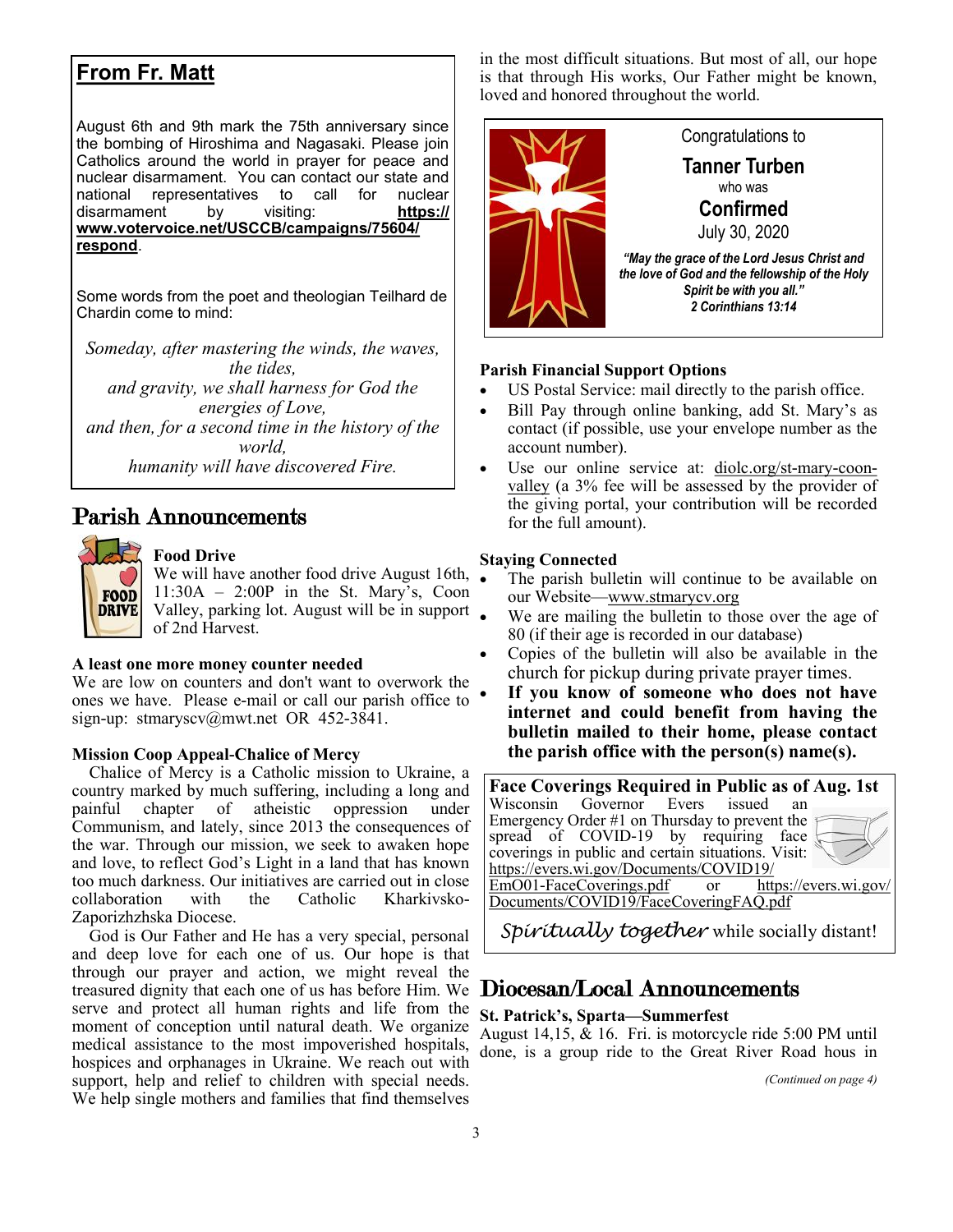# **From Fr. Matt**

August 6th and 9th mark the 75th anniversary since the bombing of Hiroshima and Nagasaki. Please join Catholics around the world in prayer for peace and nuclear disarmament. You can contact our state and national representatives to call for nuclear disarmament by visiting: **[https://](https://www.votervoice.net/USCCB/campaigns/75604/respond) [www.votervoice.net/USCCB/campaigns/75604/](https://www.votervoice.net/USCCB/campaigns/75604/respond) [respond](https://www.votervoice.net/USCCB/campaigns/75604/respond)**.

Some words from the poet and theologian Teilhard de Chardin come to mind:

*Someday, after mastering the winds, the waves, the tides, and gravity, we shall harness for God the energies of Love, and then, for a second time in the history of the world, humanity will have discovered Fire.*

# Parish Announcements



# **Food Drive**

We will have another food drive August 16th, 11:30A – 2:00P in the St. Mary's, Coon Valley, parking lot. August will be in support of 2nd Harvest.

### **A least one more money counter needed**

We are low on counters and don't want to overwork the ones we have. Please e-mail or call our parish office to sign-up: stmaryscv@mwt.net OR 452-3841.

### **Mission Coop Appeal-Chalice of Mercy**

 Chalice of Mercy is a Catholic mission to Ukraine, a country marked by much suffering, including a long and painful chapter of atheistic oppression under Communism, and lately, since 2013 the consequences of the war. Through our mission, we seek to awaken hope and love, to reflect God's Light in a land that has known too much darkness. Our initiatives are carried out in close collaboration with the Catholic Kharkivsko-Zaporizhzhska Diocese.

 God is Our Father and He has a very special, personal and deep love for each one of us. Our hope is that through our prayer and action, we might reveal the treasured dignity that each one of us has before Him. We **Diocesan/Local Announcements** serve and protect all human rights and life from the moment of conception until natural death. We organize medical assistance to the most impoverished hospitals, hospices and orphanages in Ukraine. We reach out with support, help and relief to children with special needs. We help single mothers and families that find themselves

in the most difficult situations. But most of all, our hope is that through His works, Our Father might be known, loved and honored throughout the world.



### **Parish Financial Support Options**

- US Postal Service: mail directly to the parish office.
- Bill Pay through online banking, add St. Mary's as contact (if possible, use your envelope number as the account number).
- Use our online service at: [diolc.org/st-mary-coon](http://www.diolc.org/st-mary-coon-valley)[valley](http://www.diolc.org/st-mary-coon-valley) (a 3% fee will be assessed by the provider of the giving portal, your contribution will be recorded for the full amount).

### **Staying Connected**

- The parish bulletin will continue to be available on our Website—[www.stmarycv.org](http://www.stmarycv.org)
- We are mailing the bulletin to those over the age of 80 (if their age is recorded in our database)
- Copies of the bulletin will also be available in the church for pickup during private prayer times.
- **If you know of someone who does not have internet and could benefit from having the bulletin mailed to their home, please contact the parish office with the person(s) name(s).**

| Face Coverings Required in Public as of Aug. 1st   |  |  |  |  |
|----------------------------------------------------|--|--|--|--|
| Wisconsin Governor Evers issued an                 |  |  |  |  |
| Emergency Order #1 on Thursday to prevent the      |  |  |  |  |
| spread of COVID-19 by requiring face               |  |  |  |  |
| coverings in public and certain situations. Visit: |  |  |  |  |
| https://evers.wi.gov/Documents/COVID19/            |  |  |  |  |
| EmO01-FaceCoverings.pdf or https://evers.wi.gov/   |  |  |  |  |
| Documents/COVID19/FaceCoveringFAQ.pdf              |  |  |  |  |
| $\sim$ $\sim$ $\sim$ $\sim$ $\sim$ $\sim$ $\sim$   |  |  |  |  |

*Spiritually together* while socially distant!

# **St. Patrick's, Sparta—Summerfest**

August 14,15, & 16. Fri. is motorcycle ride 5:00 PM until done, is a group ride to the Great River Road hous in

*(Continued on page 4)*